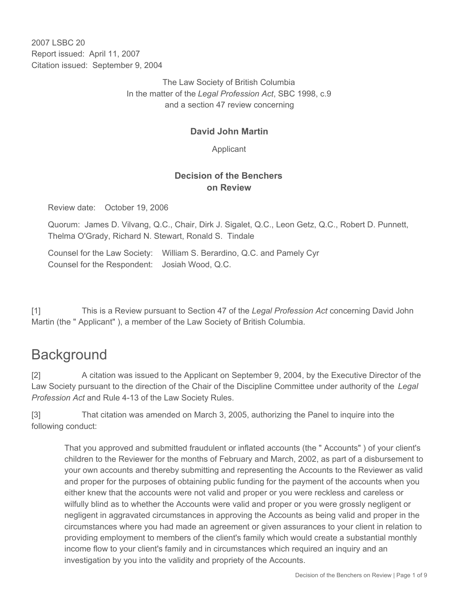2007 LSBC 20 Report issued: April 11, 2007 Citation issued: September 9, 2004

> The Law Society of British Columbia In the matter of the *Legal Profession Act*, SBC 1998, c.9 and a section 47 review concerning

# **David John Martin**

Applicant

# **Decision of the Benchers on Review**

Review date: October 19, 2006

Quorum: James D. Vilvang, Q.C., Chair, Dirk J. Sigalet, Q.C., Leon Getz, Q.C., Robert D. Punnett, Thelma O'Grady, Richard N. Stewart, Ronald S. Tindale

Counsel for the Law Society: William S. Berardino, Q.C. and Pamely Cyr Counsel for the Respondent: Josiah Wood, Q.C.

[1] This is a Review pursuant to Section 47 of the *Legal Profession Act* concerning David John Martin (the " Applicant" ), a member of the Law Society of British Columbia.

# **Background**

[2] A citation was issued to the Applicant on September 9, 2004, by the Executive Director of the Law Society pursuant to the direction of the Chair of the Discipline Committee under authority of the *Legal Profession Act* and Rule 4-13 of the Law Society Rules.

[3] That citation was amended on March 3, 2005, authorizing the Panel to inquire into the following conduct:

That you approved and submitted fraudulent or inflated accounts (the " Accounts" ) of your client's children to the Reviewer for the months of February and March, 2002, as part of a disbursement to your own accounts and thereby submitting and representing the Accounts to the Reviewer as valid and proper for the purposes of obtaining public funding for the payment of the accounts when you either knew that the accounts were not valid and proper or you were reckless and careless or wilfully blind as to whether the Accounts were valid and proper or you were grossly negligent or negligent in aggravated circumstances in approving the Accounts as being valid and proper in the circumstances where you had made an agreement or given assurances to your client in relation to providing employment to members of the client's family which would create a substantial monthly income flow to your client's family and in circumstances which required an inquiry and an investigation by you into the validity and propriety of the Accounts.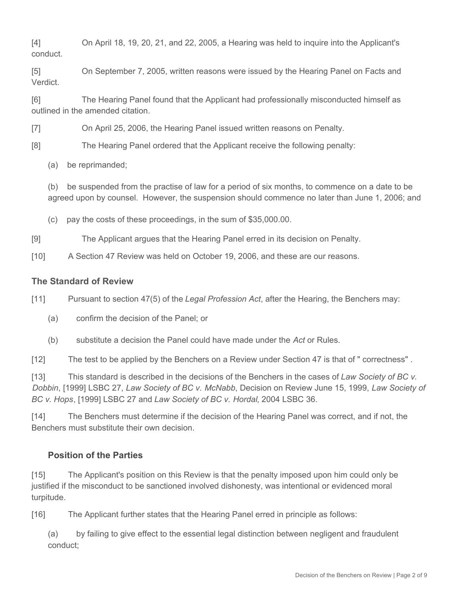[4] On April 18, 19, 20, 21, and 22, 2005, a Hearing was held to inquire into the Applicant's conduct.

[5] On September 7, 2005, written reasons were issued by the Hearing Panel on Facts and Verdict.

[6] The Hearing Panel found that the Applicant had professionally misconducted himself as outlined in the amended citation.

[7] On April 25, 2006, the Hearing Panel issued written reasons on Penalty.

[8] The Hearing Panel ordered that the Applicant receive the following penalty:

(a) be reprimanded;

(b) be suspended from the practise of law for a period of six months, to commence on a date to be agreed upon by counsel. However, the suspension should commence no later than June 1, 2006; and

(c) pay the costs of these proceedings, in the sum of \$35,000.00.

[9] The Applicant argues that the Hearing Panel erred in its decision on Penalty.

[10] A Section 47 Review was held on October 19, 2006, and these are our reasons.

#### **The Standard of Review**

[11] Pursuant to section 47(5) of the *Legal Profession Act*, after the Hearing, the Benchers may:

- (a) confirm the decision of the Panel; or
- (b) substitute a decision the Panel could have made under the *Act* or Rules.

[12] The test to be applied by the Benchers on a Review under Section 47 is that of " correctness" .

[13] This standard is described in the decisions of the Benchers in the cases of *Law Society of BC v. Dobbin*, [1999] LSBC 27, *Law Society of BC v. McNabb*, Decision on Review June 15, 1999, *Law Society of BC v. Hops*, [1999] LSBC 27 and *Law Society of BC v. Hordal*, 2004 LSBC 36.

[14] The Benchers must determine if the decision of the Hearing Panel was correct, and if not, the Benchers must substitute their own decision.

## **Position of the Parties**

[15] The Applicant's position on this Review is that the penalty imposed upon him could only be justified if the misconduct to be sanctioned involved dishonesty, was intentional or evidenced moral turpitude.

[16] The Applicant further states that the Hearing Panel erred in principle as follows:

(a) by failing to give effect to the essential legal distinction between negligent and fraudulent conduct;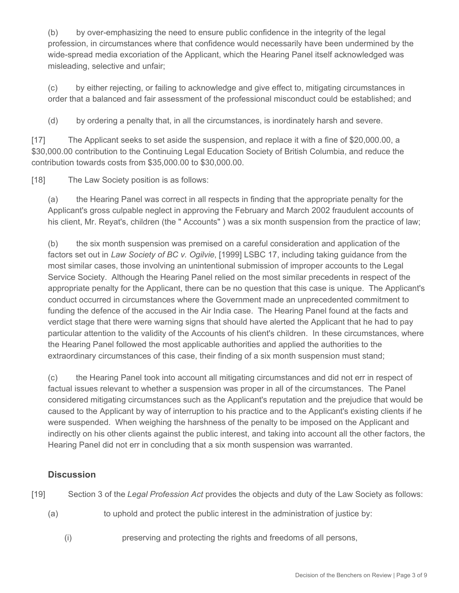(b) by over-emphasizing the need to ensure public confidence in the integrity of the legal profession, in circumstances where that confidence would necessarily have been undermined by the wide-spread media excoriation of the Applicant, which the Hearing Panel itself acknowledged was misleading, selective and unfair;

(c) by either rejecting, or failing to acknowledge and give effect to, mitigating circumstances in order that a balanced and fair assessment of the professional misconduct could be established; and

(d) by ordering a penalty that, in all the circumstances, is inordinately harsh and severe.

[17] The Applicant seeks to set aside the suspension, and replace it with a fine of \$20,000.00, a \$30,000.00 contribution to the Continuing Legal Education Society of British Columbia, and reduce the contribution towards costs from \$35,000.00 to \$30,000.00.

[18] The Law Society position is as follows:

(a) the Hearing Panel was correct in all respects in finding that the appropriate penalty for the Applicant's gross culpable neglect in approving the February and March 2002 fraudulent accounts of his client, Mr. Reyat's, children (the "Accounts") was a six month suspension from the practice of law;

(b) the six month suspension was premised on a careful consideration and application of the factors set out in *Law Society of BC v. Ogilvie*, [1999] LSBC 17, including taking guidance from the most similar cases, those involving an unintentional submission of improper accounts to the Legal Service Society. Although the Hearing Panel relied on the most similar precedents in respect of the appropriate penalty for the Applicant, there can be no question that this case is unique. The Applicant's conduct occurred in circumstances where the Government made an unprecedented commitment to funding the defence of the accused in the Air India case. The Hearing Panel found at the facts and verdict stage that there were warning signs that should have alerted the Applicant that he had to pay particular attention to the validity of the Accounts of his client's children. In these circumstances, where the Hearing Panel followed the most applicable authorities and applied the authorities to the extraordinary circumstances of this case, their finding of a six month suspension must stand;

(c) the Hearing Panel took into account all mitigating circumstances and did not err in respect of factual issues relevant to whether a suspension was proper in all of the circumstances. The Panel considered mitigating circumstances such as the Applicant's reputation and the prejudice that would be caused to the Applicant by way of interruption to his practice and to the Applicant's existing clients if he were suspended. When weighing the harshness of the penalty to be imposed on the Applicant and indirectly on his other clients against the public interest, and taking into account all the other factors, the Hearing Panel did not err in concluding that a six month suspension was warranted.

## **Discussion**

[19] Section 3 of the *Legal Profession Act* provides the objects and duty of the Law Society as follows:

- (a) to uphold and protect the public interest in the administration of justice by:
	- (i) preserving and protecting the rights and freedoms of all persons,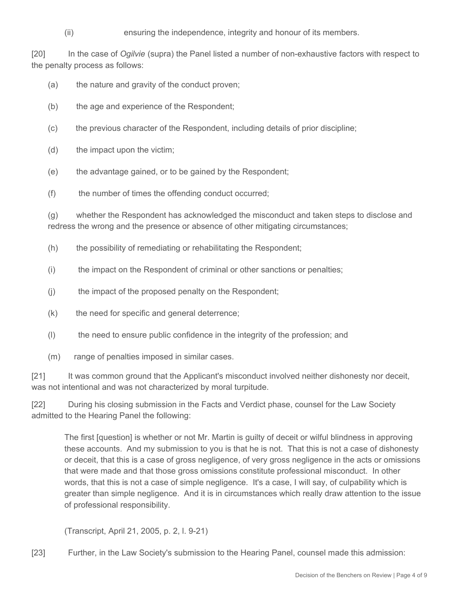(ii) ensuring the independence, integrity and honour of its members.

[20] In the case of *Ogilvie* (supra) the Panel listed a number of non-exhaustive factors with respect to the penalty process as follows:

- (a) the nature and gravity of the conduct proven;
- (b) the age and experience of the Respondent;
- (c) the previous character of the Respondent, including details of prior discipline;
- (d) the impact upon the victim;
- (e) the advantage gained, or to be gained by the Respondent;
- (f) the number of times the offending conduct occurred;

(g) whether the Respondent has acknowledged the misconduct and taken steps to disclose and redress the wrong and the presence or absence of other mitigating circumstances;

- (h) the possibility of remediating or rehabilitating the Respondent;
- (i) the impact on the Respondent of criminal or other sanctions or penalties;
- (j) the impact of the proposed penalty on the Respondent;
- (k) the need for specific and general deterrence;
- (l) the need to ensure public confidence in the integrity of the profession; and
- (m) range of penalties imposed in similar cases.

[21] It was common ground that the Applicant's misconduct involved neither dishonesty nor deceit, was not intentional and was not characterized by moral turpitude.

[22] During his closing submission in the Facts and Verdict phase, counsel for the Law Society admitted to the Hearing Panel the following:

The first [question] is whether or not Mr. Martin is guilty of deceit or wilful blindness in approving these accounts. And my submission to you is that he is not. That this is not a case of dishonesty or deceit, that this is a case of gross negligence, of very gross negligence in the acts or omissions that were made and that those gross omissions constitute professional misconduct. In other words, that this is not a case of simple negligence. It's a case, I will say, of culpability which is greater than simple negligence. And it is in circumstances which really draw attention to the issue of professional responsibility.

(Transcript, April 21, 2005, p. 2, l. 9-21)

[23] Further, in the Law Society's submission to the Hearing Panel, counsel made this admission: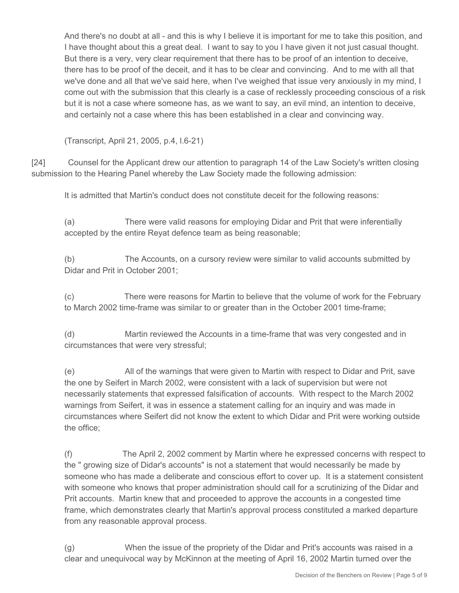And there's no doubt at all - and this is why I believe it is important for me to take this position, and I have thought about this a great deal. I want to say to you I have given it not just casual thought. But there is a very, very clear requirement that there has to be proof of an intention to deceive, there has to be proof of the deceit, and it has to be clear and convincing. And to me with all that we've done and all that we've said here, when I've weighed that issue very anxiously in my mind, I come out with the submission that this clearly is a case of recklessly proceeding conscious of a risk but it is not a case where someone has, as we want to say, an evil mind, an intention to deceive, and certainly not a case where this has been established in a clear and convincing way.

(Transcript, April 21, 2005, p.4, l.6-21)

[24] Counsel for the Applicant drew our attention to paragraph 14 of the Law Society's written closing submission to the Hearing Panel whereby the Law Society made the following admission:

It is admitted that Martin's conduct does not constitute deceit for the following reasons:

(a) There were valid reasons for employing Didar and Prit that were inferentially accepted by the entire Reyat defence team as being reasonable;

(b) The Accounts, on a cursory review were similar to valid accounts submitted by Didar and Prit in October 2001;

(c) There were reasons for Martin to believe that the volume of work for the February to March 2002 time-frame was similar to or greater than in the October 2001 time-frame;

(d) Martin reviewed the Accounts in a time-frame that was very congested and in circumstances that were very stressful;

(e) All of the warnings that were given to Martin with respect to Didar and Prit, save the one by Seifert in March 2002, were consistent with a lack of supervision but were not necessarily statements that expressed falsification of accounts. With respect to the March 2002 warnings from Seifert, it was in essence a statement calling for an inquiry and was made in circumstances where Seifert did not know the extent to which Didar and Prit were working outside the office;

(f) The April 2, 2002 comment by Martin where he expressed concerns with respect to the " growing size of Didar's accounts" is not a statement that would necessarily be made by someone who has made a deliberate and conscious effort to cover up. It is a statement consistent with someone who knows that proper administration should call for a scrutinizing of the Didar and Prit accounts. Martin knew that and proceeded to approve the accounts in a congested time frame, which demonstrates clearly that Martin's approval process constituted a marked departure from any reasonable approval process.

(g) When the issue of the propriety of the Didar and Prit's accounts was raised in a clear and unequivocal way by McKinnon at the meeting of April 16, 2002 Martin turned over the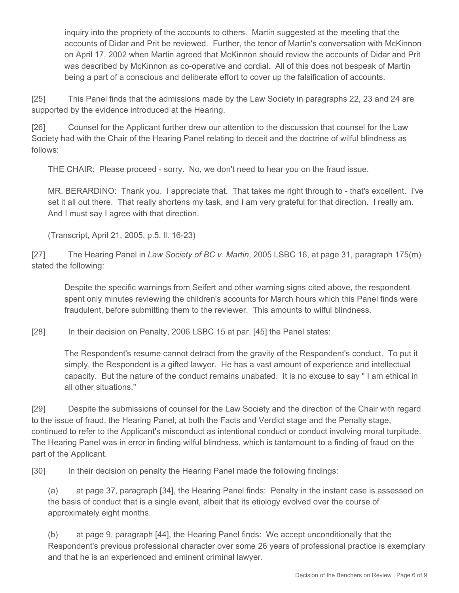inquiry into the propriety of the accounts to others. Martin suggested at the meeting that the accounts of Didar and Prit be reviewed. Further, the tenor of Martin's conversation with McKinnon on April 17, 2002 when Martin agreed that McKinnon should review the accounts of Didar and Prit was described by McKinnon as co-operative and cordial. All of this does not bespeak of Martin being a part of a conscious and deliberate effort to cover up the falsification of accounts.

[25] This Panel finds that the admissions made by the Law Society in paragraphs 22, 23 and 24 are supported by the evidence introduced at the Hearing.

[26] Counsel for the Applicant further drew our attention to the discussion that counsel for the Law Society had with the Chair of the Hearing Panel relating to deceit and the doctrine of wilful blindness as follows:

THE CHAIR: Please proceed - sorry. No, we don't need to hear you on the fraud issue.

MR. BERARDINO: Thank you. I appreciate that. That takes me right through to - that's excellent. I've set it all out there. That really shortens my task, and I am very grateful for that direction. I really am. And I must say I agree with that direction.

(Transcript, April 21, 2005, p.5, ll. 16-23)

[27] The Hearing Panel in *Law Society of BC v. Martin*, 2005 LSBC 16, at page 31, paragraph 175(m) stated the following:

Despite the specific warnings from Seifert and other warning signs cited above, the respondent spent only minutes reviewing the children's accounts for March hours which this Panel finds were fraudulent, before submitting them to the reviewer. This amounts to wilful blindness.

[28] In their decision on Penalty, 2006 LSBC 15 at par. [45] the Panel states:

The Respondent's resume cannot detract from the gravity of the Respondent's conduct. To put it simply, the Respondent is a gifted lawyer. He has a vast amount of experience and intellectual capacity. But the nature of the conduct remains unabated. It is no excuse to say " I am ethical in all other situations."

[29] Despite the submissions of counsel for the Law Society and the direction of the Chair with regard to the issue of fraud, the Hearing Panel, at both the Facts and Verdict stage and the Penalty stage, continued to refer to the Applicant's misconduct as intentional conduct or conduct involving moral turpitude. The Hearing Panel was in error in finding wilful blindness, which is tantamount to a finding of fraud on the part of the Applicant.

[30] In their decision on penalty the Hearing Panel made the following findings:

(a) at page 37, paragraph [34], the Hearing Panel finds: Penalty in the instant case is assessed on the basis of conduct that is a single event, albeit that its etiology evolved over the course of approximately eight months.

(b) at page 9, paragraph [44], the Hearing Panel finds: We accept unconditionally that the Respondent's previous professional character over some 26 years of professional practice is exemplary and that he is an experienced and eminent criminal lawyer.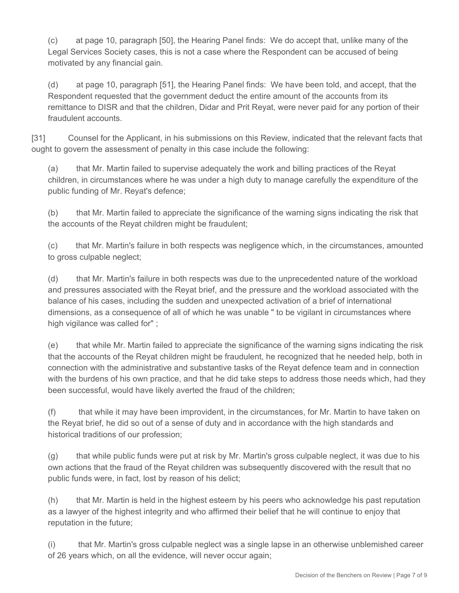(c) at page 10, paragraph [50], the Hearing Panel finds: We do accept that, unlike many of the Legal Services Society cases, this is not a case where the Respondent can be accused of being motivated by any financial gain.

(d) at page 10, paragraph [51], the Hearing Panel finds: We have been told, and accept, that the Respondent requested that the government deduct the entire amount of the accounts from its remittance to DISR and that the children, Didar and Prit Reyat, were never paid for any portion of their fraudulent accounts.

[31] Counsel for the Applicant, in his submissions on this Review, indicated that the relevant facts that ought to govern the assessment of penalty in this case include the following:

(a) that Mr. Martin failed to supervise adequately the work and billing practices of the Reyat children, in circumstances where he was under a high duty to manage carefully the expenditure of the public funding of Mr. Reyat's defence;

(b) that Mr. Martin failed to appreciate the significance of the warning signs indicating the risk that the accounts of the Reyat children might be fraudulent;

(c) that Mr. Martin's failure in both respects was negligence which, in the circumstances, amounted to gross culpable neglect;

(d) that Mr. Martin's failure in both respects was due to the unprecedented nature of the workload and pressures associated with the Reyat brief, and the pressure and the workload associated with the balance of his cases, including the sudden and unexpected activation of a brief of international dimensions, as a consequence of all of which he was unable " to be vigilant in circumstances where high vigilance was called for" ;

(e) that while Mr. Martin failed to appreciate the significance of the warning signs indicating the risk that the accounts of the Reyat children might be fraudulent, he recognized that he needed help, both in connection with the administrative and substantive tasks of the Reyat defence team and in connection with the burdens of his own practice, and that he did take steps to address those needs which, had they been successful, would have likely averted the fraud of the children;

(f) that while it may have been improvident, in the circumstances, for Mr. Martin to have taken on the Reyat brief, he did so out of a sense of duty and in accordance with the high standards and historical traditions of our profession;

(g) that while public funds were put at risk by Mr. Martin's gross culpable neglect, it was due to his own actions that the fraud of the Reyat children was subsequently discovered with the result that no public funds were, in fact, lost by reason of his delict;

(h) that Mr. Martin is held in the highest esteem by his peers who acknowledge his past reputation as a lawyer of the highest integrity and who affirmed their belief that he will continue to enjoy that reputation in the future;

(i) that Mr. Martin's gross culpable neglect was a single lapse in an otherwise unblemished career of 26 years which, on all the evidence, will never occur again;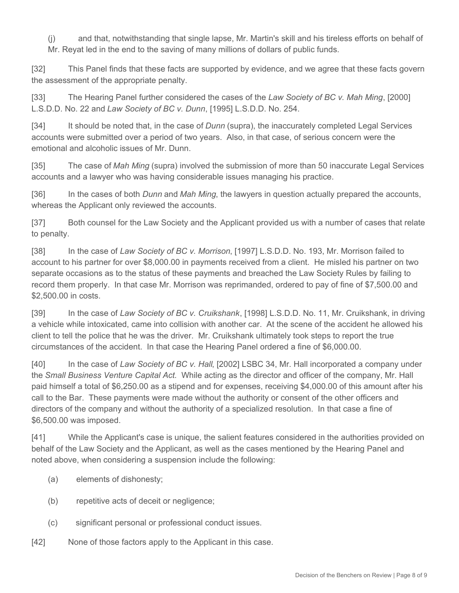(j) and that, notwithstanding that single lapse, Mr. Martin's skill and his tireless efforts on behalf of Mr. Reyat led in the end to the saving of many millions of dollars of public funds.

[32] This Panel finds that these facts are supported by evidence, and we agree that these facts govern the assessment of the appropriate penalty.

[33] The Hearing Panel further considered the cases of the *Law Society of BC v. Mah Ming*, [2000] L.S.D.D. No. 22 and *Law Society of BC v. Dunn*, [1995] L.S.D.D. No. 254.

[34] It should be noted that, in the case of *Dunn* (supra), the inaccurately completed Legal Services accounts were submitted over a period of two years. Also, in that case, of serious concern were the emotional and alcoholic issues of Mr. Dunn.

[35] The case of *Mah Ming* (supra) involved the submission of more than 50 inaccurate Legal Services accounts and a lawyer who was having considerable issues managing his practice.

[36] In the cases of both *Dunn* and *Mah Ming*, the lawyers in question actually prepared the accounts, whereas the Applicant only reviewed the accounts.

[37] Both counsel for the Law Society and the Applicant provided us with a number of cases that relate to penalty.

[38] In the case of *Law Society of BC v. Morrison*, [1997] L.S.D.D. No. 193, Mr. Morrison failed to account to his partner for over \$8,000.00 in payments received from a client. He misled his partner on two separate occasions as to the status of these payments and breached the Law Society Rules by failing to record them properly. In that case Mr. Morrison was reprimanded, ordered to pay of fine of \$7,500.00 and \$2,500.00 in costs.

[39] In the case of *Law Society of BC v. Cruikshank*, [1998] L.S.D.D. No. 11, Mr. Cruikshank, in driving a vehicle while intoxicated, came into collision with another car. At the scene of the accident he allowed his client to tell the police that he was the driver. Mr. Cruikshank ultimately took steps to report the true circumstances of the accident. In that case the Hearing Panel ordered a fine of \$6,000.00.

[40] In the case of *Law Society of BC v. Hall*, [2002] LSBC 34, Mr. Hall incorporated a company under the *Small Business Venture Capital Act.* While acting as the director and officer of the company, Mr. Hall paid himself a total of \$6,250.00 as a stipend and for expenses, receiving \$4,000.00 of this amount after his call to the Bar. These payments were made without the authority or consent of the other officers and directors of the company and without the authority of a specialized resolution. In that case a fine of \$6,500.00 was imposed.

[41] While the Applicant's case is unique, the salient features considered in the authorities provided on behalf of the Law Society and the Applicant, as well as the cases mentioned by the Hearing Panel and noted above, when considering a suspension include the following:

- (a) elements of dishonesty;
- (b) repetitive acts of deceit or negligence;
- (c) significant personal or professional conduct issues.
- [42] None of those factors apply to the Applicant in this case.